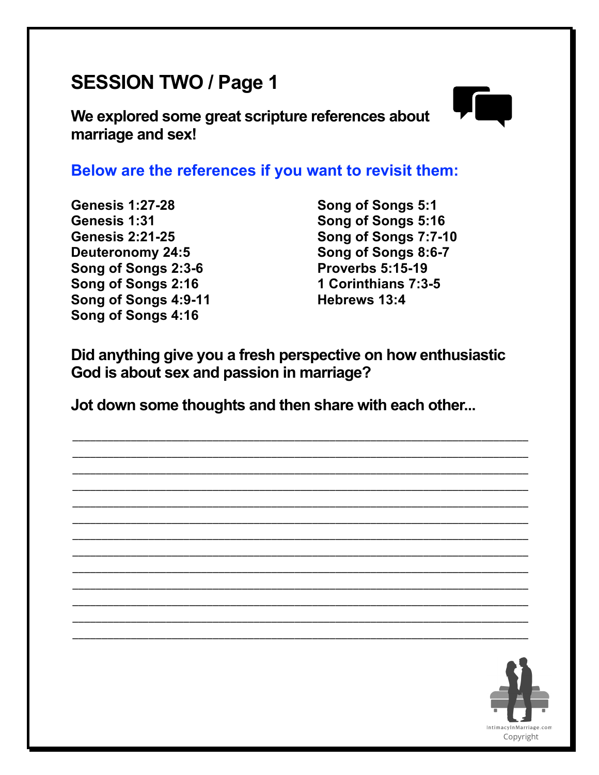## **SESSION TWO / Page 1**

**We explored some great scripture references about marriage and sex!**



## **Below are the references if you want to revisit them:**

**Genesis 1:27-28 Genesis 1:31 Genesis 2:21-25 Deuteronomy 24:5 Song of Songs 2:3-6 Song of Songs 2:16 Song of Songs 4:9-11 Song of Songs 4:16**

**Song of Songs 5:1 Song of Songs 5:16 Song of Songs 7:7-10 Song of Songs 8:6-7 Proverbs 5:15-19 1 Corinthians 7:3-5 Hebrews 13:4**

**Did anything give you a fresh perspective on how enthusiastic God is about sex and passion in marriage?**

\_\_\_\_\_\_\_\_\_\_\_\_\_\_\_\_\_\_\_\_\_\_\_\_\_\_\_\_\_\_\_\_\_\_\_\_\_\_\_\_\_\_\_\_\_\_\_\_\_\_\_\_\_\_\_\_\_\_\_\_\_\_\_\_\_\_\_\_\_\_\_\_\_\_\_\_\_\_ \_\_\_\_\_\_\_\_\_\_\_\_\_\_\_\_\_\_\_\_\_\_\_\_\_\_\_\_\_\_\_\_\_\_\_\_\_\_\_\_\_\_\_\_\_\_\_\_\_\_\_\_\_\_\_\_\_\_\_\_\_\_\_\_\_\_\_\_\_\_\_\_\_\_\_\_\_\_ \_\_\_\_\_\_\_\_\_\_\_\_\_\_\_\_\_\_\_\_\_\_\_\_\_\_\_\_\_\_\_\_\_\_\_\_\_\_\_\_\_\_\_\_\_\_\_\_\_\_\_\_\_\_\_\_\_\_\_\_\_\_\_\_\_\_\_\_\_\_\_\_\_\_\_\_\_\_ \_\_\_\_\_\_\_\_\_\_\_\_\_\_\_\_\_\_\_\_\_\_\_\_\_\_\_\_\_\_\_\_\_\_\_\_\_\_\_\_\_\_\_\_\_\_\_\_\_\_\_\_\_\_\_\_\_\_\_\_\_\_\_\_\_\_\_\_\_\_\_\_\_\_\_\_\_\_ \_\_\_\_\_\_\_\_\_\_\_\_\_\_\_\_\_\_\_\_\_\_\_\_\_\_\_\_\_\_\_\_\_\_\_\_\_\_\_\_\_\_\_\_\_\_\_\_\_\_\_\_\_\_\_\_\_\_\_\_\_\_\_\_\_\_\_\_\_\_\_\_\_\_\_\_\_\_ \_\_\_\_\_\_\_\_\_\_\_\_\_\_\_\_\_\_\_\_\_\_\_\_\_\_\_\_\_\_\_\_\_\_\_\_\_\_\_\_\_\_\_\_\_\_\_\_\_\_\_\_\_\_\_\_\_\_\_\_\_\_\_\_\_\_\_\_\_\_\_\_\_\_\_\_\_\_ \_\_\_\_\_\_\_\_\_\_\_\_\_\_\_\_\_\_\_\_\_\_\_\_\_\_\_\_\_\_\_\_\_\_\_\_\_\_\_\_\_\_\_\_\_\_\_\_\_\_\_\_\_\_\_\_\_\_\_\_\_\_\_\_\_\_\_\_\_\_\_\_\_\_\_\_\_\_ \_\_\_\_\_\_\_\_\_\_\_\_\_\_\_\_\_\_\_\_\_\_\_\_\_\_\_\_\_\_\_\_\_\_\_\_\_\_\_\_\_\_\_\_\_\_\_\_\_\_\_\_\_\_\_\_\_\_\_\_\_\_\_\_\_\_\_\_\_\_\_\_\_\_\_\_\_\_ \_\_\_\_\_\_\_\_\_\_\_\_\_\_\_\_\_\_\_\_\_\_\_\_\_\_\_\_\_\_\_\_\_\_\_\_\_\_\_\_\_\_\_\_\_\_\_\_\_\_\_\_\_\_\_\_\_\_\_\_\_\_\_\_\_\_\_\_\_\_\_\_\_\_\_\_\_\_ \_\_\_\_\_\_\_\_\_\_\_\_\_\_\_\_\_\_\_\_\_\_\_\_\_\_\_\_\_\_\_\_\_\_\_\_\_\_\_\_\_\_\_\_\_\_\_\_\_\_\_\_\_\_\_\_\_\_\_\_\_\_\_\_\_\_\_\_\_\_\_\_\_\_\_\_\_\_ \_\_\_\_\_\_\_\_\_\_\_\_\_\_\_\_\_\_\_\_\_\_\_\_\_\_\_\_\_\_\_\_\_\_\_\_\_\_\_\_\_\_\_\_\_\_\_\_\_\_\_\_\_\_\_\_\_\_\_\_\_\_\_\_\_\_\_\_\_\_\_\_\_\_\_\_\_\_ \_\_\_\_\_\_\_\_\_\_\_\_\_\_\_\_\_\_\_\_\_\_\_\_\_\_\_\_\_\_\_\_\_\_\_\_\_\_\_\_\_\_\_\_\_\_\_\_\_\_\_\_\_\_\_\_\_\_\_\_\_\_\_\_\_\_\_\_\_\_\_\_\_\_\_\_\_\_ \_\_\_\_\_\_\_\_\_\_\_\_\_\_\_\_\_\_\_\_\_\_\_\_\_\_\_\_\_\_\_\_\_\_\_\_\_\_\_\_\_\_\_\_\_\_\_\_\_\_\_\_\_\_\_\_\_\_\_\_\_\_\_\_\_\_\_\_\_\_\_\_\_\_\_\_\_\_

**Jot down some thoughts and then share with each other...**

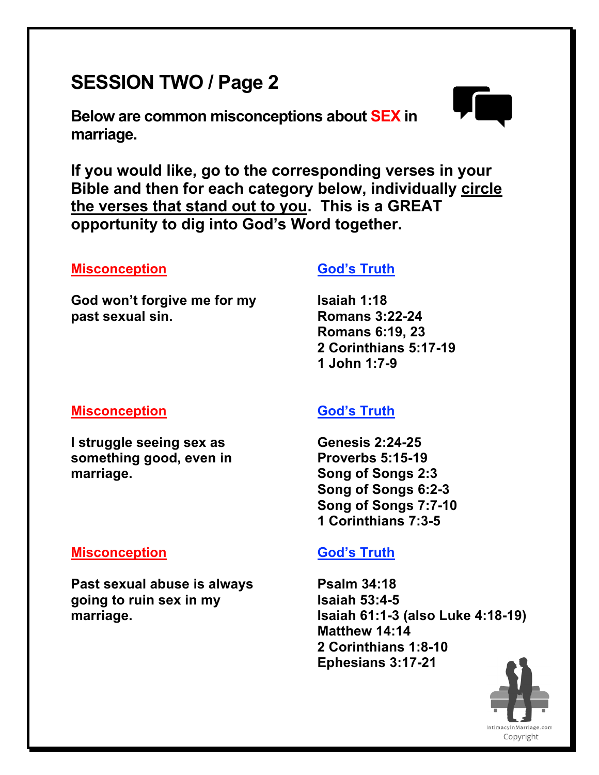# **SESSION TWO / Page 2**

**Below are common misconceptions about SEX in marriage.**



**If you would like, go to the corresponding verses in your Bible and then for each category below, individually circle the verses that stand out to you. This is a GREAT opportunity to dig into God's Word together.**

## **Misconception**

**God won't forgive me for my past sexual sin.**

## **God's Truth**

**Isaiah 1:18 Romans 3:22-24 Romans 6:19, 23 2 Corinthians 5:17-19 1 John 1:7-9**

## **Misconception**

**I struggle seeing sex as something good, even in marriage.**

## **God's Truth**

**Genesis 2:24-25 Proverbs 5:15-19 Song of Songs 2:3 Song of Songs 6:2-3 Song of Songs 7:7-10 1 Corinthians 7:3-5**

## **Misconception**

**Past sexual abuse is always going to ruin sex in my marriage.**

## **God's Truth**

**Psalm 34:18 Isaiah 53:4-5 Isaiah 61:1-3 (also Luke 4:18-19) Matthew 14:14 2 Corinthians 1:8-10 Ephesians 3:17-21**